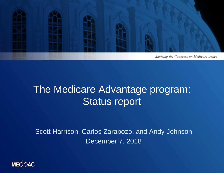

### The Medicare Advantage program: Status report

Scott Harrison, Carlos Zarabozo, and Andy Johnson December 7, 2018

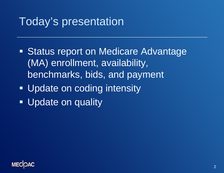### Today's presentation

- **Status report on Medicare Advantage** (MA) enrollment, availability, benchmarks, bids, and payment
- **Update on coding intensity**
- **Update on quality**

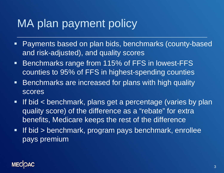## MA plan payment policy

- Payments based on plan bids, benchmarks (county-based and risk-adjusted), and quality scores
- Benchmarks range from 115% of FFS in lowest-FFS counties to 95% of FFS in highest-spending counties
- **Benchmarks are increased for plans with high quality** scores
- If bid < benchmark, plans get a percentage (varies by plan quality score) of the difference as a "rebate" for extra benefits, Medicare keeps the rest of the difference
- If bid > benchmark, program pays benchmark, enrollee pays premium

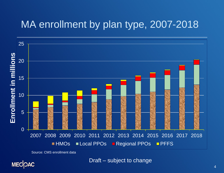### MA enrollment by plan type, 2007-2018



Source: CMS enrollment data

MECOAC

Draft – subject to change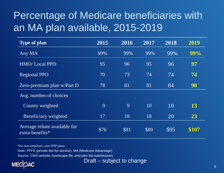### Percentage of Medicare beneficiaries with an MA plan available, 2015-2019

| <b>Type of plan</b>                             | 2015 | 2016 | 2017 | 2018 | 2019  |
|-------------------------------------------------|------|------|------|------|-------|
| Any MA                                          | 99%  | 99%  | 99%  | 99%  | 99%   |
| <b>HMO/Local PPO</b>                            | 95   | 96   | 95   | 96   | 97    |
| <b>Regional PPO</b>                             | 70   | 73   | 74   | 74   | 74    |
| Zero-premium plan w/Part D                      | 78   | 81   | 81   | 84   | 90    |
| Avg. number of choices                          |      |      |      |      |       |
| County weighted                                 | 9    | 9    | 10   | 10   | 13    |
| Beneficiary weighted                            | 17   | 18   | 18   | 20   | 23    |
| Average rebate available for<br>extra-benefits* | \$76 | \$81 | \$89 | \$95 | \$107 |

\*for non-employer, non-SNP plans

Note: PFFS (private fee-for-service), MA (Medicare Advantage)

Source: CMS website, landscape file, and plan bid submissions.



Draft – subject to change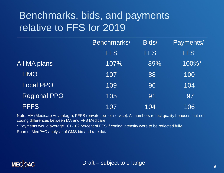### Benchmarks, bids, and payments relative to FFS for 2019

|                     | Benchmarks/ | Bids/      | Payments/  |  |
|---------------------|-------------|------------|------------|--|
|                     | <b>FFS</b>  | <b>FFS</b> | <b>FFS</b> |  |
| All MA plans        | 107%        | 89%        | 100%*      |  |
| <b>HMO</b>          | 107         | 88         | 100        |  |
| Local PPO           | 109         | 96         | 104        |  |
| <b>Regional PPO</b> | 105         | 91         | 97         |  |
| <b>PFFS</b>         | 107         | 104        | 106        |  |

Note: MA (Medicare Advantage), PFFS (private fee-for-service). All numbers reflect quality bonuses, but not coding differences between MA and FFS Medicare.

\* Payments would average 101-102 percent of FFS if coding intensity were to be reflected fully. Source: MedPAC analysis of CMS bid and rate data.

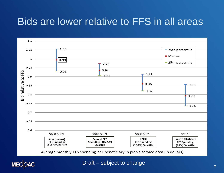### Bids are lower relative to FFS in all areas





Draft – subject to change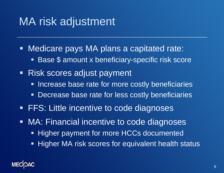# MA risk adjustment

- Medicare pays MA plans a capitated rate:
	- Base \$ amount x beneficiary-specific risk score
- Risk scores adjust payment
	- **Increase base rate for more costly beneficiaries**
	- **Decrease base rate for less costly beneficiaries**
- **FFS: Little incentive to code diagnoses**
- MA: Financial incentive to code diagnoses
	- **Higher payment for more HCCs documented**
	- **Higher MA risk scores for equivalent health status**

#### **MECK**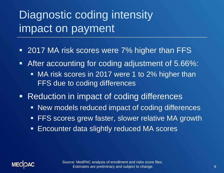# Diagnostic coding intensity impact on payment

- 2017 MA risk scores were 7% higher than FFS
- After accounting for coding adjustment of 5.66%:
	- **MA risk scores in 2017 were 1 to 2% higher than** FFS due to coding differences
- Reduction in impact of coding differences
	- New models reduced impact of coding differences
	- FFS scores grew faster, slower relative MA growth
	- Encounter data slightly reduced MA scores



Source: MedPAC analysis of enrollment and risks score files. Estimates are preliminary and subject to change.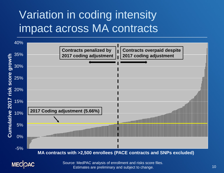# Variation in coding intensity impact across MA contracts



Source: MedPAC analysis of enrollment and risks score files. Estimates are preliminary and subject to change.

**MECOAC**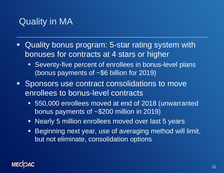### Quality in MA

- Quality bonus program: 5-star rating system with bonuses for contracts at 4 stars or higher
	- Seventy-five percent of enrollees in bonus-level plans (bonus payments of ~\$6 billion for 2019)
- Sponsors use contract consolidations to move enrollees to bonus-level contracts
	- 550,000 enrollees moved at end of 2018 (unwarranted bonus payments of ~\$200 million in 2019)
	- Nearly 5 million enrollees moved over last 5 years
	- Beginning next year, use of averaging method will limit, but not eliminate, consolidation options

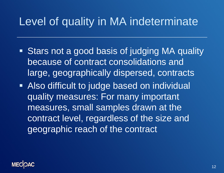## Level of quality in MA indeterminate

- **Stars not a good basis of judging MA quality** because of contract consolidations and large, geographically dispersed, contracts
- Also difficult to judge based on individual quality measures: For many important measures, small samples drawn at the contract level, regardless of the size and geographic reach of the contract

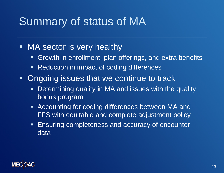# Summary of status of MA

#### **NA sector is very healthy**

- **Growth in enrollment, plan offerings, and extra benefits**
- Reduction in impact of coding differences
- Ongoing issues that we continue to track
	- **Determining quality in MA and issues with the quality** bonus program
	- Accounting for coding differences between MA and FFS with equitable and complete adjustment policy
	- **Ensuring completeness and accuracy of encounter** data